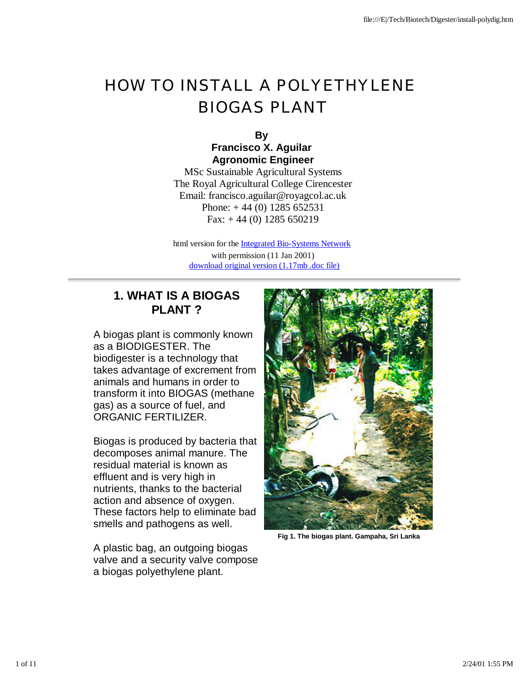# HOW TO INSTALL A POLYETHYLENE BIOGAS PLANT

**By Francisco X. Aguilar Agronomic Engineer**

MSc Sustainable Agricultural Systems The Royal Agricultural College Cirencester Email: francisco.aguilar@royagcol.ac.uk Phone:  $+44(0)$  1285 652531 Fax:  $+44(0)$  1285 650219

html version for the Integrated Bio-Systems Network with permission (11 Jan 2001) download original version (1.17mb .doc file)

## **1. WHAT IS A BIOGAS PLANT ?**

A biogas plant is commonly known as a BIODIGESTER. The biodigester is a technology that takes advantage of excrement from animals and humans in order to transform it into BIOGAS (methane gas) as a source of fuel, and ORGANIC FERTILIZER.

Biogas is produced by bacteria that decomposes animal manure. The residual material is known as effluent and is very high in nutrients, thanks to the bacterial action and absence of oxygen. These factors help to eliminate bad smells and pathogens as well.

A plastic bag, an outgoing biogas valve and a security valve compose a biogas polyethylene plant.



**Fig 1. The biogas plant. Gampaha, Sri Lanka**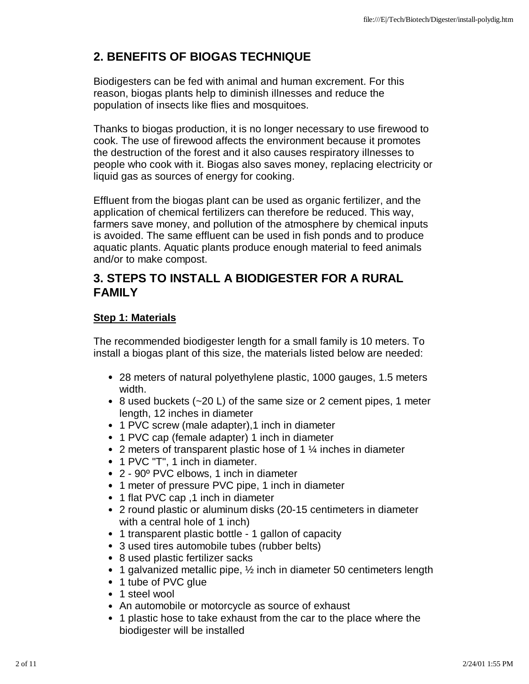## **2. BENEFITS OF BIOGAS TECHNIQUE**

Biodigesters can be fed with animal and human excrement. For this reason, biogas plants help to diminish illnesses and reduce the population of insects like flies and mosquitoes.

Thanks to biogas production, it is no longer necessary to use firewood to cook. The use of firewood affects the environment because it promotes the destruction of the forest and it also causes respiratory illnesses to people who cook with it. Biogas also saves money, replacing electricity or liquid gas as sources of energy for cooking.

Effluent from the biogas plant can be used as organic fertilizer, and the application of chemical fertilizers can therefore be reduced. This way, farmers save money, and pollution of the atmosphere by chemical inputs is avoided. The same effluent can be used in fish ponds and to produce aquatic plants. Aquatic plants produce enough material to feed animals and/or to make compost.

## **3. STEPS TO INSTALL A BIODIGESTER FOR A RURAL FAMILY**

## **Step 1: Materials**

The recommended biodigester length for a small family is 10 meters. To install a biogas plant of this size, the materials listed below are needed:

- 28 meters of natural polyethylene plastic, 1000 gauges, 1.5 meters width.
- $\bullet$  8 used buckets ( $\sim$ 20 L) of the same size or 2 cement pipes, 1 meter length, 12 inches in diameter
- 1 PVC screw (male adapter), 1 inch in diameter
- 1 PVC cap (female adapter) 1 inch in diameter
- 2 meters of transparent plastic hose of 1  $\frac{1}{4}$  inches in diameter
- 1 PVC "T", 1 inch in diameter.
- 2 90º PVC elbows, 1 inch in diameter
- 1 meter of pressure PVC pipe, 1 inch in diameter
- 1 flat PVC cap ,1 inch in diameter
- 2 round plastic or aluminum disks (20-15 centimeters in diameter with a central hole of 1 inch)
- 1 transparent plastic bottle 1 gallon of capacity
- 3 used tires automobile tubes (rubber belts)
- 8 used plastic fertilizer sacks
- 1 galvanized metallic pipe,  $\frac{1}{2}$  inch in diameter 50 centimeters length
- 1 tube of PVC glue
- 1 steel wool
- An automobile or motorcycle as source of exhaust
- 1 plastic hose to take exhaust from the car to the place where the biodigester will be installed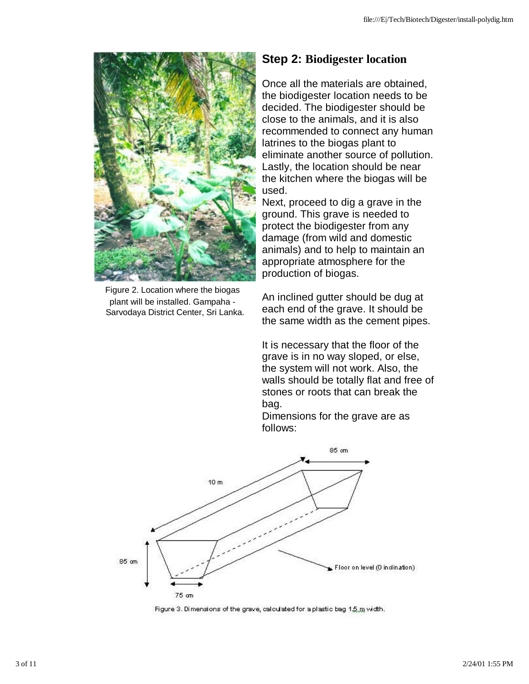

Figure 2. Location where the biogas plant will be installed. Gampaha - Sarvodaya District Center, Sri Lanka.

## **Step 2: Biodigester location**

Once all the materials are obtained, the biodigester location needs to be decided. The biodigester should be close to the animals, and it is also recommended to connect any human latrines to the biogas plant to eliminate another source of pollution. Lastly, the location should be near the kitchen where the biogas will be used.

Next, proceed to dig a grave in the ground. This grave is needed to protect the biodigester from any damage (from wild and domestic animals) and to help to maintain an appropriate atmosphere for the production of biogas.

An inclined gutter should be dug at each end of the grave. It should be the same width as the cement pipes.

It is necessary that the floor of the grave is in no way sloped, or else, the system will not work. Also, the walls should be totally flat and free of stones or roots that can break the bag.

Dimensions for the grave are as follows:



Figure 3. Dimensions of the grave, calculated for a plastic bag 1,5,m width.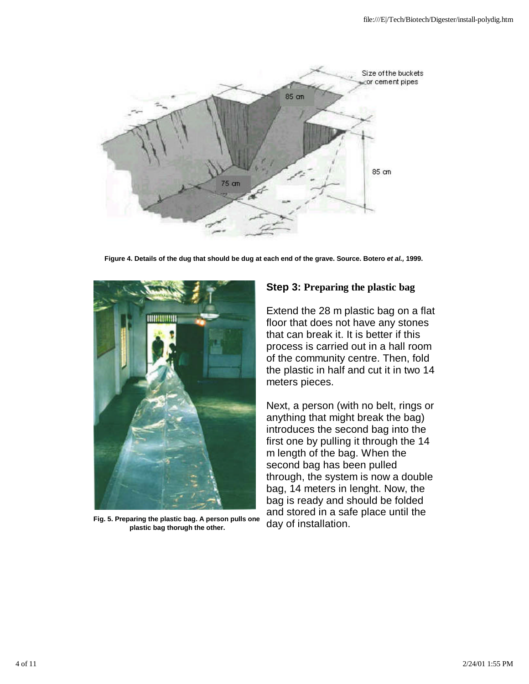

**Figure 4. Details of the dug that should be dug at each end of the grave. Source. Botero** *et al.,* **1999.**



**Fig. 5. Preparing the plastic bag. A person pulls one plastic bag thorugh the other.**

#### **Step 3: Preparing the plastic bag**

Extend the 28 m plastic bag on a flat floor that does not have any stones that can break it. It is better if this process is carried out in a hall room of the community centre. Then, fold the plastic in half and cut it in two 14 meters pieces.

Next, a person (with no belt, rings or anything that might break the bag) introduces the second bag into the first one by pulling it through the 14 m length of the bag. When the second bag has been pulled through, the system is now a double bag, 14 meters in lenght. Now, the bag is ready and should be folded and stored in a safe place until the day of installation.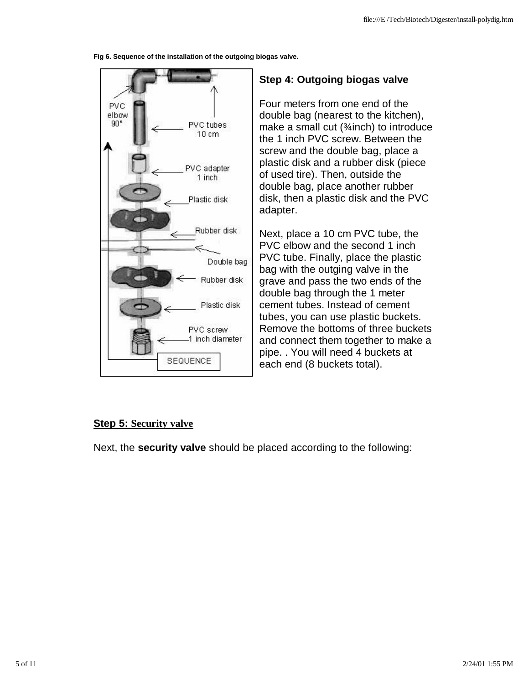**Fig 6. Sequence of the installation of the outgoing biogas valve.**



## **Step 4: Outgoing biogas valve**

Four meters from one end of the double bag (nearest to the kitchen), make a small cut (¼inch) to introduce the 1 inch PVC screw. Between the screw and the double bag, place a plastic disk and a rubber disk (piece of used tire). Then, outside the double bag, place another rubber disk, then a plastic disk and the PVC adapter.

Next, place a 10 cm PVC tube, the PVC elbow and the second 1 inch PVC tube. Finally, place the plastic bag with the outging valve in the grave and pass the two ends of the double bag through the 1 meter cement tubes. Instead of cement tubes, you can use plastic buckets. Remove the bottoms of three buckets and connect them together to make a pipe. . You will need 4 buckets at each end (8 buckets total).

## **Step 5: Security valve**

Next, the **security valve** should be placed according to the following: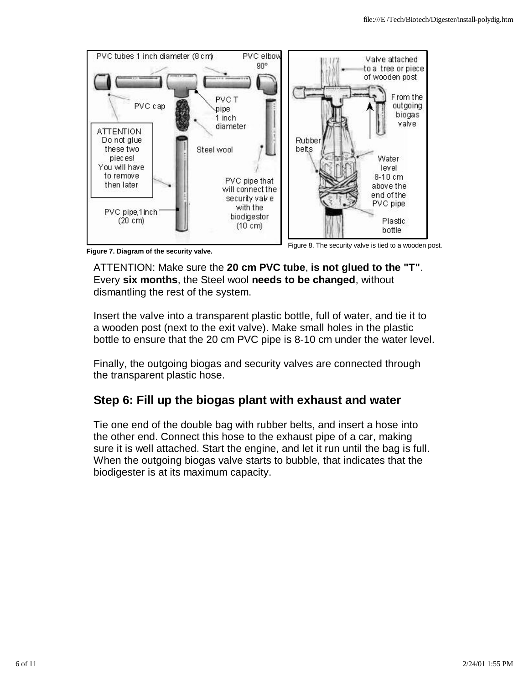

**Figure 7. Diagram of the security valve.**

Figure 8. The security valve is tied to a wooden post.

ATTENTION: Make sure the **20 cm PVC tube**, **is not glued to the "T"**. Every **six months**, the Steel wool **needs to be changed**, without dismantling the rest of the system.

Insert the valve into a transparent plastic bottle, full of water, and tie it to a wooden post (next to the exit valve). Make small holes in the plastic bottle to ensure that the 20 cm PVC pipe is 8-10 cm under the water level.

Finally, the outgoing biogas and security valves are connected through the transparent plastic hose.

## **Step 6: Fill up the biogas plant with exhaust and water**

Tie one end of the double bag with rubber belts, and insert a hose into the other end. Connect this hose to the exhaust pipe of a car, making sure it is well attached. Start the engine, and let it run until the bag is full. When the outgoing biogas valve starts to bubble, that indicates that the biodigester is at its maximum capacity.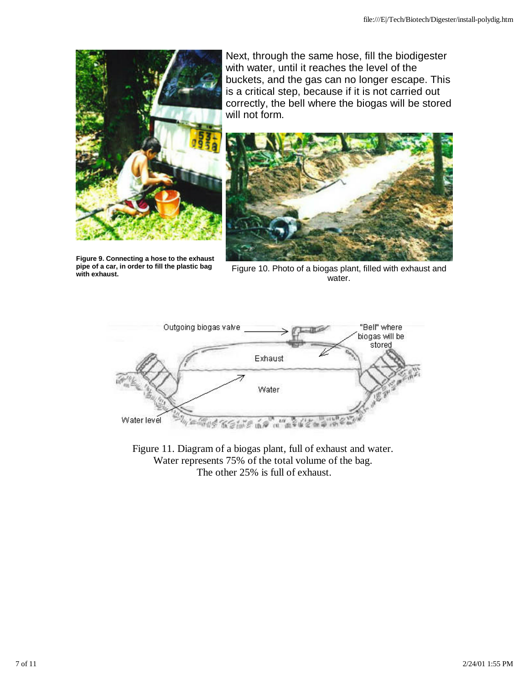

**Figure 9. Connecting a hose to the exhaust pipe of a car, in order to fill the plastic bag with exhaust.**

Next, through the same hose, fill the biodigester with water, until it reaches the level of the buckets, and the gas can no longer escape. This is a critical step, because if it is not carried out correctly, the bell where the biogas will be stored will not form.



Figure 10. Photo of a biogas plant, filled with exhaust and water.



Figure 11. Diagram of a biogas plant, full of exhaust and water. Water represents 75% of the total volume of the bag. The other 25% is full of exhaust.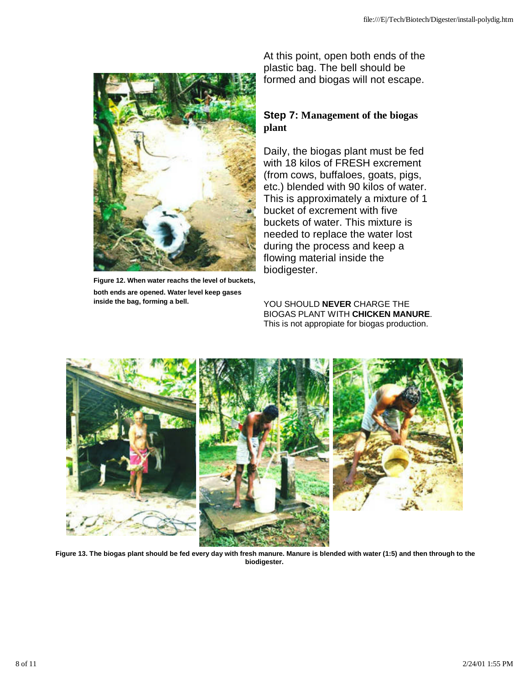

**Figure 12. When water reachs the level of buckets, both ends are opened. Water level keep gases inside the bag, forming a bell.**

At this point, open both ends of the plastic bag. The bell should be formed and biogas will not escape.

#### **Step 7: Management of the biogas plant**

Daily, the biogas plant must be fed with 18 kilos of FRESH excrement (from cows, buffaloes, goats, pigs, etc.) blended with 90 kilos of water. This is approximately a mixture of 1 bucket of excrement with five buckets of water. This mixture is needed to replace the water lost during the process and keep a flowing material inside the biodigester.

YOU SHOULD **NEVER** CHARGE THE BIOGAS PLANT WITH **CHICKEN MANURE**. This is not appropiate for biogas production.



**Figure 13. The biogas plant should be fed every day with fresh manure. Manure is blended with water (1:5) and then through to the biodigester.**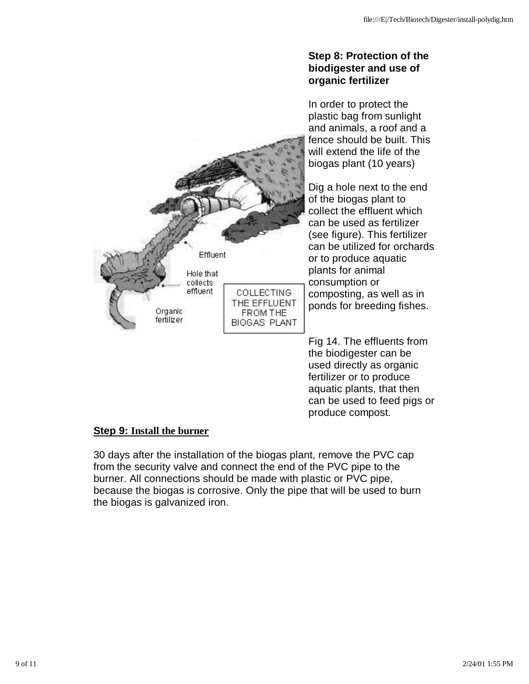#### **Step 8: Protection of the biodigester and use of organic fertilizer**

In order to protect the plastic bag from sunlight and animals, a roof and a fence should be built. This will extend the life of the biogas plant (10 years)

Dig a hole next to the end of the biogas plant to collect the effluent which can be used as fertilizer (see figure). This fertilizer can be utilized for orchards or to produce aquatic plants for animal consumption or composting, as well as in ponds for breeding fishes.

Fig 14. The effluents from the biodigester can be used directly as organic fertilizer or to produce aquatic plants, that then can be used to feed pigs or produce compost.

#### **Step 9: Install the burner**

30 days after the installation of the biogas plant, remove the PVC cap from the security valve and connect the end of the PVC pipe to the burner. All connections should be made with plastic or PVC pipe, because the biogas is corrosive. Only the pipe that will be used to burn the biogas is galvanized iron.

BIOGAS PLANT